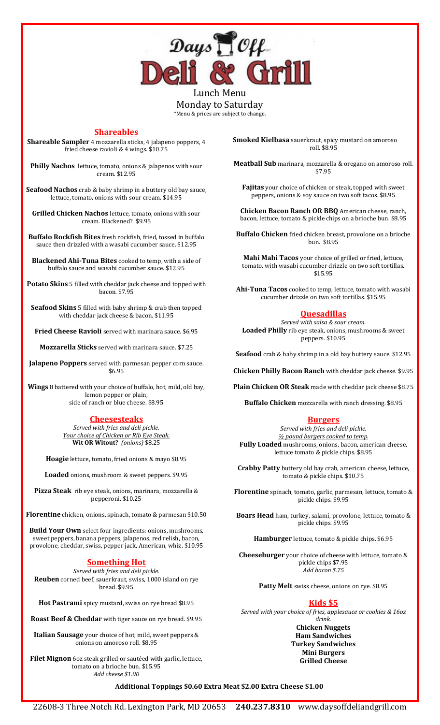

Lunch Menu Monday to Saturday \*Menu & prices are subject to change.

# **Shareables**

**Shareable Sampler** 4 mozzarella sticks, 4 jalapeno poppers, 4 fried cheese ravioli & 4 wings. \$10.75

**Philly Nachos** lettuce, tomato, onions & jalapenos with sour cream. \$12.95

**Seafood Nachos** crab & baby shrimp in a buttery old bay sauce, lettuce, tomato, onions with sour cream. \$14.95

**Grilled Chicken Nachos** lettuce, tomato, onions with sour cream. Blackened? \$9.95

**Buffalo Rockfish Bites** fresh rockfish, fried, tossed in buffalo sauce then drizzled with a wasabi cucumber sauce. \$12.95

**Blackened Ahi-Tuna Bites** cooked to temp, with a side of buffalo sauce and wasabi cucumber sauce. \$12.95

**Potato Skins** 5 filled with cheddar jack cheese and topped with bacon. \$7.95

**Seafood Skins** 5 filled with baby shrimp & crab then topped with cheddar jack cheese & bacon. \$11.95

**Fried Cheese Ravioli** served with marinara sauce. \$6.95

**Mozzarella Sticks** served with marinara sauce. \$7.25

**Jalapeno Poppers** served with parmesan pepper corn sauce. \$6.95

**Wings** 8 battered with your choice of buffalo, hot, mild, old bay, lemon pepper or plain, side of ranch or blue cheese. \$8.95

# **Cheesesteaks**

*Served with fries and deli pickle. Your choice of Chicken or Rib Eye Steak.* **Wit OR Witout?** *(onions)* \$8.25

**Hoagie** lettuce, tomato, fried onions & mayo \$8.95

**Loaded** onions, mushroom & sweet peppers. \$9.95

**Pizza Steak** rib eye steak, onions, marinara, mozzarella & pepperoni. \$10.25

**Florentine** chicken, onions, spinach, tomato & parmesan \$10.50

**Build Your Own** select four ingredients: onions, mushrooms, sweet peppers, banana peppers, jalapenos, red relish, bacon, provolone, cheddar, swiss, pepper jack, American, whiz. \$10.95

# **Something Hot**

*Served with fries and deli pickle.* **Reuben** corned beef, sauerkraut, swiss, 1000 island on rye bread. \$9.95

**Hot Pastrami** spicy mustard, swiss on rye bread \$8.95

**Roast Beef & Cheddar** with tiger sauce on rye bread. \$9.95

**Italian Sausage** your choice of hot, mild, sweet peppers & onions on amoroso roll. \$8.95

**Filet Mignon** 6oz steak grilled or sautéed with garlic, lettuce, tomato on a brioche bun. \$15.95 *Add cheese \$1.00*

**Smoked Kielbasa** sauerkraut, spicy mustard on amoroso roll. \$8.95

**Meatball Sub** marinara, mozzarella & oregano on amoroso roll. \$7.95

**Fajitas** your choice of chicken or steak, topped with sweet peppers, onions & soy sauce on two soft tacos. \$8.95

**Chicken Bacon Ranch OR BBQ** American cheese, ranch, bacon, lettuce, tomato & pickle chips on a brioche bun. \$8.95

**Buffalo Chicken** fried chicken breast, provolone on a brioche bun. \$8.95

**Mahi Mahi Tacos** your choice of grilled or fried, lettuce, tomato, with wasabi cucumber drizzle on two soft tortillas. \$15.95

**Ahi-Tuna Tacos** cooked to temp, lettuce, tomato with wasabi cucumber drizzle on two soft tortillas. \$15.95

# **Quesadillas**

*Served with salsa & sour cream.* **Loaded Philly** rib eye steak, onions, mushrooms & sweet peppers. \$10.95

**Seafood** crab & baby shrimp in a old bay buttery sauce. \$12.95

**Chicken Philly Bacon Ranch** with cheddar jack cheese. \$9.95

**Plain Chicken OR Steak** made with cheddar jack cheese \$8.75

**Buffalo Chicken** mozzarella with ranch dressing. \$8.95

# **Burgers**

*Served with fries and deli pickle. ½ pound burgers cooked to temp.* **Fully Loaded** mushrooms, onions, bacon, american cheese, lettuce tomato & pickle chips. \$8.95

**Crabby Patty** buttery old bay crab, american cheese, lettuce, tomato & pickle chips. \$10.75

**Florentine** spinach, tomato, garlic, parmesan, lettuce, tomato & pickle chips. \$9.95

**Boars Head** ham, turkey, salami, provolone, lettuce, tomato & pickle chips. \$9.95

**Hamburger** lettuce, tomato & pickle chips. \$6.95

**Cheeseburger** your choice of cheese with lettuce, tomato & pickle chips \$7.95 *Add bacon \$.75*

**Patty Melt** swiss cheese, onions on rye. \$8.95

# **Kids \$5**

*Served with your choice of fries, applesauce or cookies & 16oz drink.*

> **Chicken Nuggets Ham Sandwiches Turkey Sandwiches Mini Burgers Grilled Cheese**

# **Additional Toppings \$0.60 Extra Meat \$2.00 Extra Cheese \$1.00**